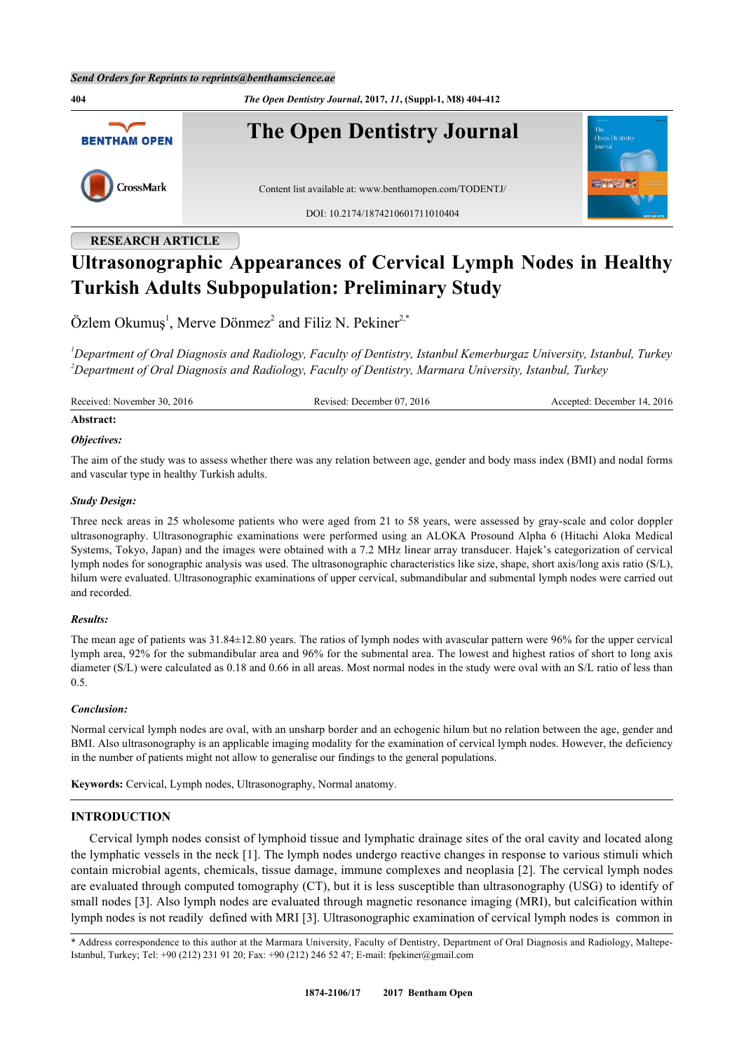**404** *The Open Dentistry Journal***, 2017,** *11***, (Suppl-1, M8) 404-412 The Open Dentistry Journal BENTHAM OPEN** CrossMark Content list available at: [www.benthamopen.com/TODENTJ/](http://www.benthamopen.com/TODENTJ/) DOI: [10.2174/1874210601711010404](http://dx.doi.org/10.2174/1874210601711010404)

# **RESEARCH ARTICLE**

# **Ultrasonographic Appearances of Cervical Lymph Nodes in Healthy Turkish Adults Subpopulation: Preliminary Study**

 $\ddot{\text{O}}$ zlem Okumuş<sup>[1](#page-0-0)</sup>, Merve Dönmez<sup>[2](#page-0-1)</sup> and Filiz N. Pekiner<sup>[2,](#page-0-1)[\\*](#page-0-2)</sup>

<span id="page-0-1"></span><span id="page-0-0"></span>*<sup>1</sup>Department of Oral Diagnosis and Radiology, Faculty of Dentistry, Istanbul Kemerburgaz University, Istanbul, Turkey <sup>2</sup>Department of Oral Diagnosis and Radiology, Faculty of Dentistry, Marmara University, Istanbul, Turkey*

Received: November 30, 2016 Revised: December 07, 2016 Accepted: December 14, 2016

## **Abstract:**

#### *Objectives:*

The aim of the study was to assess whether there was any relation between age, gender and body mass index (BMI) and nodal forms and vascular type in healthy Turkish adults.

#### *Study Design:*

Three neck areas in 25 wholesome patients who were aged from 21 to 58 years, were assessed by gray-scale and color doppler ultrasonography. Ultrasonographic examinations were performed using an ALOKA Prosound Alpha 6 (Hitachi Aloka Medical Systems, Tokyo, Japan) and the images were obtained with a 7.2 MHz linear array transducer. Hajek's categorization of cervical lymph nodes for sonographic analysis was used. The ultrasonographic characteristics like size, shape, short axis/long axis ratio (S/L), hilum were evaluated. Ultrasonographic examinations of upper cervical, submandibular and submental lymph nodes were carried out and recorded.

#### *Results:*

The mean age of patients was 31.84±12.80 years. The ratios of lymph nodes with avascular pattern were 96% for the upper cervical lymph area, 92% for the submandibular area and 96% for the submental area. The lowest and highest ratios of short to long axis diameter (S/L) were calculated as 0.18 and 0.66 in all areas. Most normal nodes in the study were oval with an S/L ratio of less than 0.5.

#### *Conclusion:*

Normal cervical lymph nodes are oval, with an unsharp border and an echogenic hilum but no relation between the age, gender and BMI. Also ultrasonography is an applicable imaging modality for the examination of cervical lymph nodes. However, the deficiency in the number of patients might not allow to generalise our findings to the general populations.

**Keywords:** Cervical, Lymph nodes, Ultrasonography, Normal anatomy.

#### **INTRODUCTION**

Cervical lymph nodes consist of lymphoid tissue and lymphatic drainage sites of the oral cavity and located along the lymphatic vessels in the neck [[1\]](#page-6-0). The lymph nodes undergo reactive changes in response to various stimuli which contain microbial agents, chemicals, tissue damage, immune complexes and neoplasia [[2](#page-6-1)]. The cervical lymph nodes are evaluated through computed tomography (CT), but it is less susceptible than ultrasonography (USG) to identify of small nodes [\[3](#page-6-2)]. Also lymph nodes are evaluated through magnetic resonance imaging (MRI), but calcification within lymph nodes is not readily defined with MRI [\[3](#page-6-2)]. Ultrasonographic examination of cervical lymph nodes is common in

<span id="page-0-2"></span>\* Address correspondence to this author at the Marmara University, Faculty of Dentistry, Department of Oral Diagnosis and Radiology, Maltepe-Istanbul, Turkey; Tel: +90 (212) 231 91 20; Fax: +90 (212) 246 52 47; E-mail: [fpekiner@gmail.com](mailto:fpekiner@gmail.com)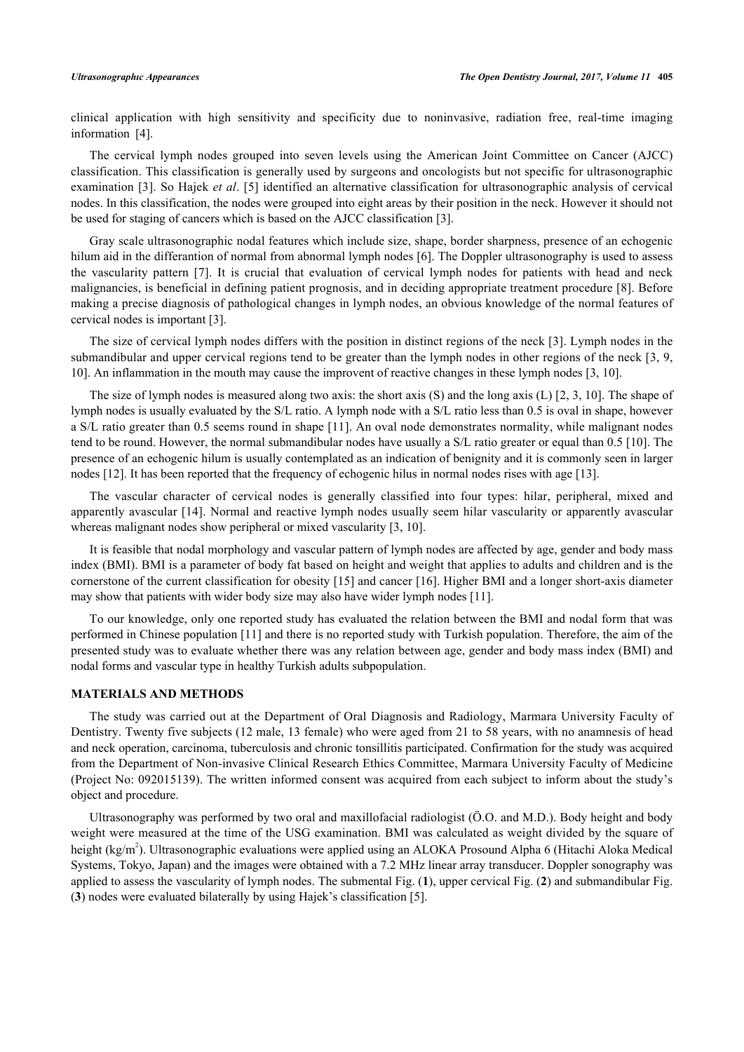clinical application with high sensitivity and specificity due to noninvasive, radiation free, real-time imaging information[[4\]](#page-7-0).

The cervical lymph nodes grouped into seven levels using the American Joint Committee on Cancer (AJCC) classification. This classification is generally used by surgeons and oncologists but not specific for ultrasonographic examination [[3](#page-6-2)]. So Hajek *et al*. [[5\]](#page-7-1) identified an alternative classification for ultrasonographic analysis of cervical nodes. In this classification, the nodes were grouped into eight areas by their position in the neck. However it should not be used for staging of cancers which is based on the AJCC classification [\[3](#page-6-2)].

Gray scale ultrasonographic nodal features which include size, shape, border sharpness, presence of an echogenic hilum aid in the differantion of normal from abnormal lymph nodes [[6](#page-7-2)]. The Doppler ultrasonography is used to assess the vascularity pattern[[7\]](#page-7-3). It is crucial that evaluation of cervical lymph nodes for patients with head and neck malignancies, is beneficial in defining patient prognosis, and in deciding appropriate treatment procedure [[8](#page-7-4)]. Before making a precise diagnosis of pathological changes in lymph nodes, an obvious knowledge of the normal features of cervical nodes is important [[3\]](#page-6-2).

The size of cervical lymph nodes differs with the position in distinct regions of the neck [\[3\]](#page-6-2). Lymph nodes in the submandibular and upper cervical regions tend to be greater than the lymph nodes in other regions of the neck [\[3](#page-6-2), [9](#page-7-5), [10\]](#page-7-6). An inflammation in the mouth may cause the improvent of reactive changes in these lymph nodes [\[3](#page-6-2), [10](#page-7-6)].

The size of lymph nodes is measured along two axis: the short axis (S) and the long axis (L) [[2](#page-6-1), [3](#page-6-2), [10](#page-7-6)]. The shape of lymph nodes is usually evaluated by the S/L ratio. A lymph node with a S/L ratio less than 0.5 is oval in shape, however a S/L ratio greater than 0.5 seems round in shape [[11](#page-7-7)]. An oval node demonstrates normality, while malignant nodes tend to be round. However, the normal submandibular nodes have usually a S/L ratio greater or equal than 0.5 [[10\]](#page-7-6). The presence of an echogenic hilum is usually contemplated as an indication of benignity and it is commonly seen in larger nodes [[12\]](#page-7-8). It has been reported that the frequency of echogenic hilus in normal nodes rises with age [\[13](#page-7-9)].

The vascular character of cervical nodes is generally classified into four types: hilar, peripheral, mixed and apparently avascular [[14\]](#page-7-10). Normal and reactive lymph nodes usually seem hilar vascularity or apparently avascular whereas malignant nodes show peripheral or mixed vascularity [[3,](#page-6-2) [10\]](#page-7-6).

It is feasible that nodal morphology and vascular pattern of lymph nodes are affected by age, gender and body mass index (BMI). BMI is a parameter of body fat based on height and weight that applies to adults and children and is the cornerstone of the current classification for obesity [\[15](#page-7-11)] and cancer [\[16](#page-7-12)]. Higher BMI and a longer short-axis diameter may show that patients with wider body size may also have wider lymph nodes [\[11](#page-7-7)].

To our knowledge, only one reported study has evaluated the relation between the BMI and nodal form that was performed in Chinese population [[11](#page-7-7)] and there is no reported study with Turkish population. Therefore, the aim of the presented study was to evaluate whether there was any relation between age, gender and body mass index (BMI) and nodal forms and vascular type in healthy Turkish adults subpopulation.

#### **MATERIALS AND METHODS**

The study was carried out at the Department of Oral Diagnosis and Radiology, Marmara University Faculty of Dentistry. Twenty five subjects (12 male, 13 female) who were aged from 21 to 58 years, with no anamnesis of head and neck operation, carcinoma, tuberculosis and chronic tonsillitis participated. Confirmation for the study was acquired from the Department of Non-invasive Clinical Research Ethics Committee, Marmara University Faculty of Medicine (Project No: 092015139). The written informed consent was acquired from each subject to inform about the study's object and procedure.

<span id="page-1-0"></span>Ultrasonography was performed by two oral and maxillofacial radiologist (Ö.O. and M.D.). Body height and body weight were measured at the time of the USG examination. BMI was calculated as weight divided by the square of height (kg/m<sup>2</sup>). Ultrasonographic evaluations were applied using an ALOKA Prosound Alpha 6 (Hitachi Aloka Medical Systems, Tokyo, Japan) and the images were obtained with a 7.2 MHz linear array transducer. Doppler sonography was applied to assess the vascularity of lymph nodes. The submental Fig. (**[1](#page-1-0)**), upper cervical Fig. (**[2](#page-2-0)**) and submandibular Fig. (**[3](#page-2-1)**) nodes were evaluated bilaterally by using Hajek's classification [\[5](#page-7-1)].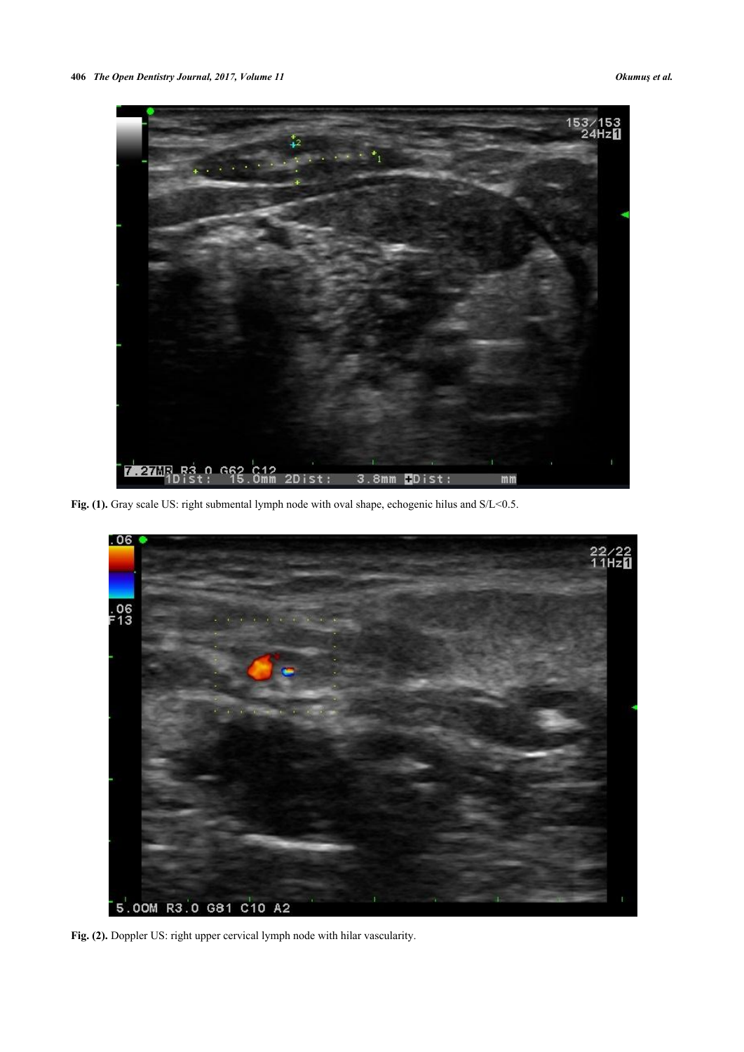

Fig. (1). Gray scale US: right submental lymph node with oval shape, echogenic hilus and S/L<0.5.

<span id="page-2-1"></span><span id="page-2-0"></span>

Fig. (2). Doppler US: right upper cervical lymph node with hilar vascularity.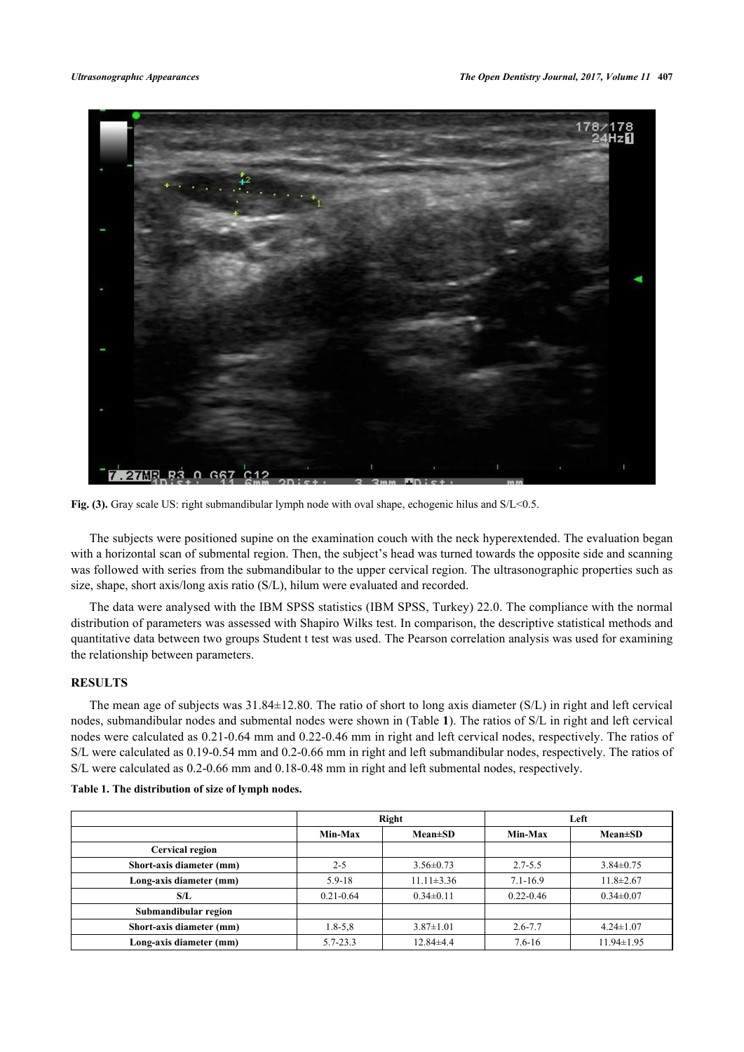

**Fig. (3).** Gray scale US: right submandibular lymph node with oval shape, echogenic hilus and S/L<0.5.

The subjects were positioned supine on the examination couch with the neck hyperextended. The evaluation began with a horizontal scan of submental region. Then, the subject's head was turned towards the opposite side and scanning was followed with series from the submandibular to the upper cervical region. The ultrasonographic properties such as size, shape, short axis/long axis ratio (S/L), hilum were evaluated and recorded.

The data were analysed with the IBM SPSS statistics (IBM SPSS, Turkey) 22.0. The compliance with the normal distribution of parameters was assessed with Shapiro Wilks test. In comparison, the descriptive statistical methods and quantitative data between two groups Student t test was used. The Pearson correlation analysis was used for examining the relationship between parameters.

#### **RESULTS**

The mean age of subjects was 31.84±12.80. The ratio of short to long axis diameter (S/L) in right and left cervical nodes, submandibular nodes and submental nodes were shown in (Table **[1](#page-3-0)**). The ratios of S/L in right and left cervical nodes were calculated as 0.21-0.64 mm and 0.22-0.46 mm in right and left cervical nodes, respectively. The ratios of S/L were calculated as 0.19-0.54 mm and 0.2-0.66 mm in right and left submandibular nodes, respectively. The ratios of S/L were calculated as 0.2-0.66 mm and 0.18-0.48 mm in right and left submental nodes, respectively.

|                          | Right         |                  |               | Left             |
|--------------------------|---------------|------------------|---------------|------------------|
|                          | Min-Max       | $Mean \pm SD$    | Min-Max       | $Mean \pm SD$    |
| <b>Cervical region</b>   |               |                  |               |                  |
| Short-axis diameter (mm) | $2 - 5$       | $3.56 \pm 0.73$  | $2.7 - 5.5$   | $3.84 \pm 0.75$  |
| Long-axis diameter (mm)  | $5.9 - 18$    | $11.11 \pm 3.36$ | $7.1 - 16.9$  | $11.8 \pm 2.67$  |
| S/L                      | $0.21 - 0.64$ | $0.34 \pm 0.11$  | $0.22 - 0.46$ | $0.34 \pm 0.07$  |
| Submandibular region     |               |                  |               |                  |
| Short-axis diameter (mm) | $1.8 - 5.8$   | $3.87 \pm 1.01$  | $2.6 - 7.7$   | $4.24 \pm 1.07$  |
| Long-axis diameter (mm)  | $5.7 - 23.3$  | $12.84 \pm 4.4$  | $7.6 - 16$    | $11.94 \pm 1.95$ |

#### <span id="page-3-0"></span>**Table 1. The distribution of size of lymph nodes.**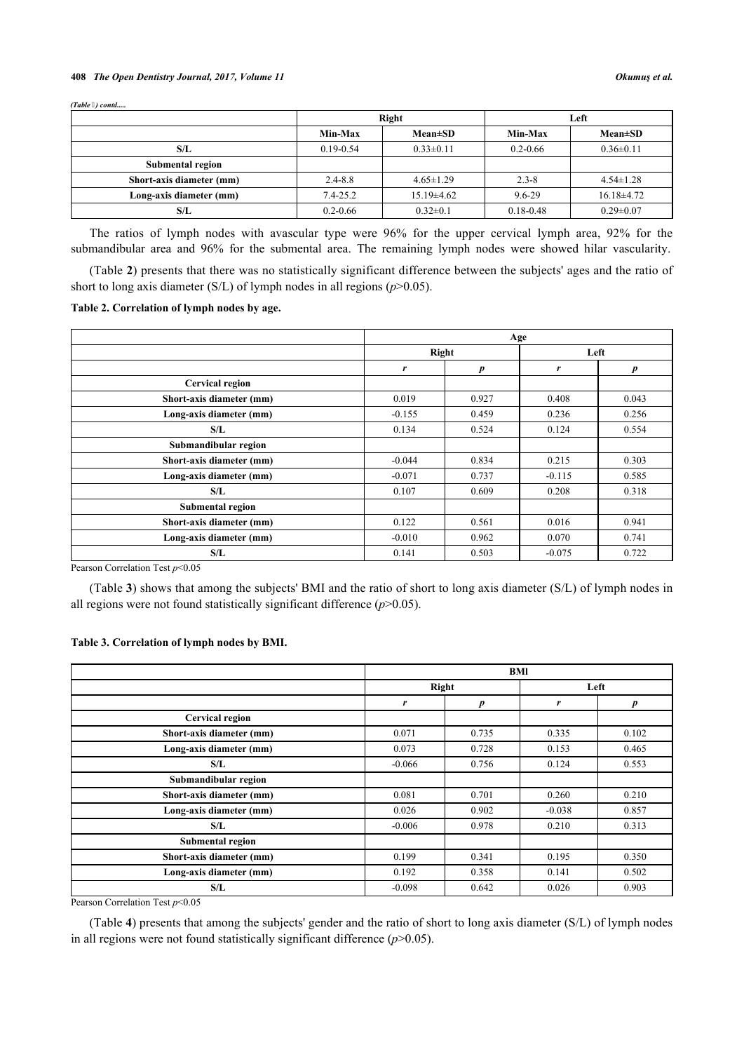#### **408** *The Open Dentistry Journal, 2017, Volume 11 Okumuş et al.*

*(Table ) contd.....*

|                          |               | Right            | Left          |                 |  |
|--------------------------|---------------|------------------|---------------|-----------------|--|
|                          | Min-Max       | $Mean \pm SD$    | Min-Max       | $Mean \pm SD$   |  |
| S/L                      | $0.19 - 0.54$ | $0.33 \pm 0.11$  | $0.2 - 0.66$  | $0.36 \pm 0.11$ |  |
| Submental region         |               |                  |               |                 |  |
| Short-axis diameter (mm) | $2.4 - 8.8$   | $4.65 \pm 1.29$  | $2.3 - 8$     | $4.54 \pm 1.28$ |  |
| Long-axis diameter (mm)  | $7.4 - 25.2$  | $15.19 \pm 4.62$ | 9.6-29        | $16.18\pm4.72$  |  |
| S/L                      | $0.2 - 0.66$  | $0.32 \pm 0.1$   | $0.18 - 0.48$ | $0.29 \pm 0.07$ |  |

The ratios of lymph nodes with avascular type were 96% for the upper cervical lymph area, 92% for the submandibular area and 96% for the submental area. The remaining lymph nodes were showed hilar vascularity.

(Table **[2](#page-4-0)**) presents that there was no statistically significant difference between the subjects' ages and the ratio of short to long axis diameter (S/L) of lymph nodes in all regions  $(p>0.05)$ .

#### <span id="page-4-0"></span>**Table 2. Correlation of lymph nodes by age.**

|                          | Age      |       |          |       |  |
|--------------------------|----------|-------|----------|-------|--|
|                          | Right    |       | Left     |       |  |
|                          | r        | p     | r        | p     |  |
| <b>Cervical region</b>   |          |       |          |       |  |
| Short-axis diameter (mm) | 0.019    | 0.927 | 0.408    | 0.043 |  |
| Long-axis diameter (mm)  | $-0.155$ | 0.459 | 0.236    | 0.256 |  |
| S/L                      | 0.134    | 0.524 | 0.124    | 0.554 |  |
| Submandibular region     |          |       |          |       |  |
| Short-axis diameter (mm) | $-0.044$ | 0.834 | 0.215    | 0.303 |  |
| Long-axis diameter (mm)  | $-0.071$ | 0.737 | $-0.115$ | 0.585 |  |
| S/L                      | 0.107    | 0.609 | 0.208    | 0.318 |  |
| <b>Submental region</b>  |          |       |          |       |  |
| Short-axis diameter (mm) | 0.122    | 0.561 | 0.016    | 0.941 |  |
| Long-axis diameter (mm)  | $-0.010$ | 0.962 | 0.070    | 0.741 |  |
| S/L                      | 0.141    | 0.503 | $-0.075$ | 0.722 |  |

Pearson Correlation Test  $p$ <0.05

(Table **[3](#page-4-1)**) shows that among the subjects' BMI and the ratio of short to long axis diameter (S/L) of lymph nodes in all regions were not found statistically significant difference (*p*>0.05).

#### <span id="page-4-1"></span>**Table 3. Correlation of lymph nodes by BMI.**

|                          | <b>BMI</b> |       |          |       |  |
|--------------------------|------------|-------|----------|-------|--|
|                          | Right      |       | Left     |       |  |
|                          | r          | р     | r        | p     |  |
| <b>Cervical region</b>   |            |       |          |       |  |
| Short-axis diameter (mm) | 0.071      | 0.735 | 0.335    | 0.102 |  |
| Long-axis diameter (mm)  | 0.073      | 0.728 | 0.153    | 0.465 |  |
| S/L                      | $-0.066$   | 0.756 | 0.124    | 0.553 |  |
| Submandibular region     |            |       |          |       |  |
| Short-axis diameter (mm) | 0.081      | 0.701 | 0.260    | 0.210 |  |
| Long-axis diameter (mm)  | 0.026      | 0.902 | $-0.038$ | 0.857 |  |
| S/L                      | $-0.006$   | 0.978 | 0.210    | 0.313 |  |
| Submental region         |            |       |          |       |  |
| Short-axis diameter (mm) | 0.199      | 0.341 | 0.195    | 0.350 |  |
| Long-axis diameter (mm)  | 0.192      | 0.358 | 0.141    | 0.502 |  |
| S/L                      | $-0.098$   | 0.642 | 0.026    | 0.903 |  |

Pearson Correlation Test  $p$  < 0.05

<span id="page-4-2"></span>(Table **[4](#page-4-2)**) presents that among the subjects' gender and the ratio of short to long axis diameter (S/L) of lymph nodes in all regions were not found statistically significant difference  $(p>0.05)$ .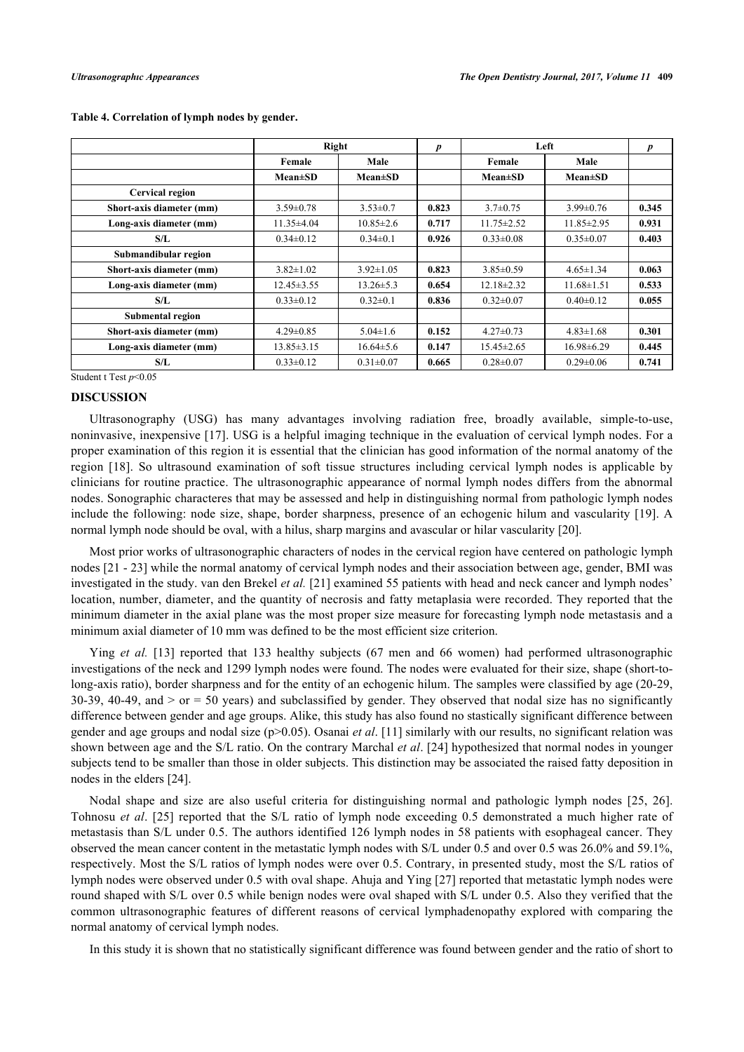|                          | Right            |                 | p     | Left             |                  | p     |
|--------------------------|------------------|-----------------|-------|------------------|------------------|-------|
|                          | Female           | Male            |       | Female           | Male             |       |
|                          | $Mean \pm SD$    | $Mean \pm SD$   |       | $Mean \pm SD$    | $Mean \pm SD$    |       |
| <b>Cervical region</b>   |                  |                 |       |                  |                  |       |
| Short-axis diameter (mm) | $3.59 \pm 0.78$  | $3.53 \pm 0.7$  | 0.823 | $3.7 \pm 0.75$   | $3.99 \pm 0.76$  | 0.345 |
| Long-axis diameter (mm)  | $11.35 \pm 4.04$ | $10.85 \pm 2.6$ | 0.717 | $11.75 \pm 2.52$ | $11.85 \pm 2.95$ | 0.931 |
| S/L                      | $0.34 \pm 0.12$  | $0.34 \pm 0.1$  | 0.926 | $0.33 \pm 0.08$  | $0.35 \pm 0.07$  | 0.403 |
| Submandibular region     |                  |                 |       |                  |                  |       |
| Short-axis diameter (mm) | $3.82 \pm 1.02$  | $3.92 \pm 1.05$ | 0.823 | $3.85 \pm 0.59$  | $4.65 \pm 1.34$  | 0.063 |
| Long-axis diameter (mm)  | $12.45 \pm 3.55$ | $13.26 \pm 5.3$ | 0.654 | $12.18 \pm 2.32$ | $11.68 \pm 1.51$ | 0.533 |
| S/L                      | $0.33 \pm 0.12$  | $0.32 \pm 0.1$  | 0.836 | $0.32 \pm 0.07$  | $0.40 \pm 0.12$  | 0.055 |
| Submental region         |                  |                 |       |                  |                  |       |
| Short-axis diameter (mm) | $4.29 \pm 0.85$  | $5.04 \pm 1.6$  | 0.152 | $4.27 \pm 0.73$  | $4.83 \pm 1.68$  | 0.301 |
| Long-axis diameter (mm)  | $13.85 \pm 3.15$ | $16.64\pm5.6$   | 0.147 | $15.45 \pm 2.65$ | $16.98\pm 6.29$  | 0.445 |
| S/L                      | $0.33 \pm 0.12$  | $0.31 \pm 0.07$ | 0.665 | $0.28 \pm 0.07$  | $0.29 \pm 0.06$  | 0.741 |

#### **Table 4. Correlation of lymph nodes by gender.**

Student t Test *p*<0.05

#### **DISCUSSION**

Ultrasonography (USG) has many advantages involving radiation free, broadly available, simple-to-use, noninvasive, inexpensive [\[17](#page-7-13)]. USG is a helpful imaging technique in the evaluation of cervical lymph nodes. For a proper examination of this region it is essential that the clinician has good information of the normal anatomy of the region[[18\]](#page-7-14). So ultrasound examination of soft tissue structures including cervical lymph nodes is applicable by clinicians for routine practice. The ultrasonographic appearance of normal lymph nodes differs from the abnormal nodes. Sonographic characteres that may be assessed and help in distinguishing normal from pathologic lymph nodes include the following: node size, shape, border sharpness, presence of an echogenic hilum and vascularity [[19\]](#page-7-15). A normal lymph node should be oval, with a hilus, sharp margins and avascular or hilar vascularity [[20\]](#page-7-16).

Most prior works of ultrasonographic characters of nodes in the cervical region have centered on pathologic lymph nodes [\[21](#page-7-17) - [23\]](#page-7-18) while the normal anatomy of cervical lymph nodes and their association between age, gender, BMI was investigated in the study. van den Brekel *et al.* [\[21](#page-7-17)] examined 55 patients with head and neck cancer and lymph nodes' location, number, diameter, and the quantity of necrosis and fatty metaplasia were recorded. They reported that the minimum diameter in the axial plane was the most proper size measure for forecasting lymph node metastasis and a minimum axial diameter of 10 mm was defined to be the most efficient size criterion.

Ying *et al.* [\[13](#page-7-9)] reported that 133 healthy subjects (67 men and 66 women) had performed ultrasonographic investigations of the neck and 1299 lymph nodes were found. The nodes were evaluated for their size, shape (short-tolong-axis ratio), border sharpness and for the entity of an echogenic hilum. The samples were classified by age (20-29, 30-39, 40-49, and  $>$  or  $=$  50 years) and subclassified by gender. They observed that nodal size has no significantly difference between gender and age groups. Alike, this study has also found no stastically significant difference between gender and age groups and nodal size (p>0.05). Osanai *et al*. [[11\]](#page-7-7) similarly with our results, no significant relation was shown between age and the S/L ratio. On the contrary Marchal *et al*. [\[24](#page-7-19)] hypothesized that normal nodes in younger subjects tend to be smaller than those in older subjects. This distinction may be associated the raised fatty deposition in nodes in the elders [\[24](#page-7-19)].

Nodal shape and size are also useful criteria for distinguishing normal and pathologic lymph nodes[[25,](#page-8-0) [26\]](#page-8-1). Tohnosu *et al*.[[25\]](#page-8-0) reported that the S/L ratio of lymph node exceeding 0.5 demonstrated a much higher rate of metastasis than S/L under 0.5. The authors identified 126 lymph nodes in 58 patients with esophageal cancer. They observed the mean cancer content in the metastatic lymph nodes with S/L under 0.5 and over 0.5 was 26.0% and 59.1%, respectively. Most the S/L ratios of lymph nodes were over 0.5. Contrary, in presented study, most the S/L ratios of lymph nodes were observed under 0.5 with oval shape. Ahuja and Ying [\[27\]](#page-8-2) reported that metastatic lymph nodes were round shaped with S/L over 0.5 while benign nodes were oval shaped with S/L under 0.5. Also they verified that the common ultrasonographic features of different reasons of cervical lymphadenopathy explored with comparing the normal anatomy of cervical lymph nodes.

In this study it is shown that no statistically significant difference was found between gender and the ratio of short to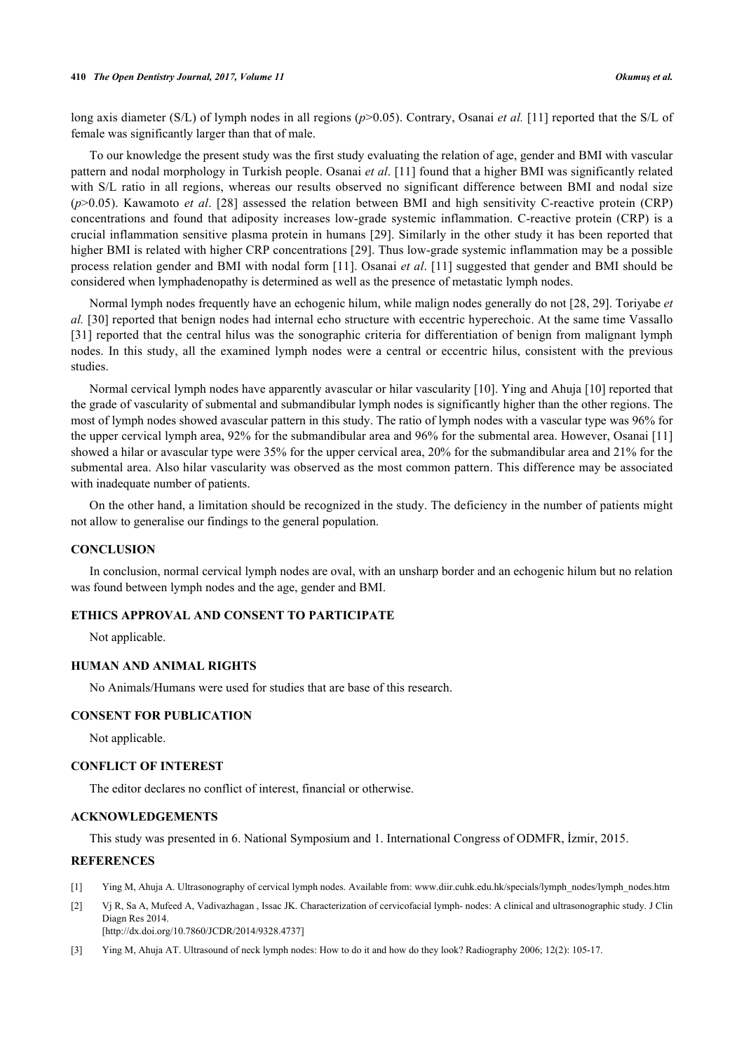long axis diameter (S/L) of lymph nodes in all regions ( $p$ >0.05). Contrary, Osanai *et al.* [\[11\]](#page-7-7) reported that the S/L of female was significantly larger than that of male.

To our knowledge the present study was the first study evaluating the relation of age, gender and BMI with vascular pattern and nodal morphology in Turkish people. Osanai *et al*. [\[11](#page-7-7)] found that a higher BMI was significantly related with S/L ratio in all regions, whereas our results observed no significant difference between BMI and nodal size (*p*>0.05). Kawamoto *et al*.[[28](#page-8-3)] assessed the relation between BMI and high sensitivity C-reactive protein (CRP) concentrations and found that adiposity increases low-grade systemic inflammation. C-reactive protein (CRP) is a crucial inflammation sensitive plasma protein in humans [[29\]](#page-8-4). Similarly in the other study it has been reported that higher BMI is related with higher CRP concentrations [[29](#page-8-4)]. Thus low-grade systemic inflammation may be a possible process relation gender and BMI with nodal form [[11](#page-7-7)]. Osanai *et al*. [[11\]](#page-7-7) suggested that gender and BMI should be considered when lymphadenopathy is determined as well as the presence of metastatic lymph nodes.

Normal lymph nodes frequently have an echogenic hilum, while malign nodes generally do not [\[28](#page-8-3), [29](#page-8-4)]. Toriyabe *et al.* [\[30\]](#page-8-5) reported that benign nodes had internal echo structure with eccentric hyperechoic. At the same time Vassallo [\[31](#page-8-6)] reported that the central hilus was the sonographic criteria for differentiation of benign from malignant lymph nodes. In this study, all the examined lymph nodes were a central or eccentric hilus, consistent with the previous studies.

Normal cervical lymph nodes have apparently avascular or hilar vascularity [[10\]](#page-7-6). Ying and Ahuja [\[10\]](#page-7-6) reported that the grade of vascularity of submental and submandibular lymph nodes is significantly higher than the other regions. The most of lymph nodes showed avascular pattern in this study. The ratio of lymph nodes with a vascular type was 96% for the upper cervical lymph area, 92% for the submandibular area and 96% for the submental area. However, Osanai [\[11](#page-7-7)] showed a hilar or avascular type were 35% for the upper cervical area, 20% for the submandibular area and 21% for the submental area. Also hilar vascularity was observed as the most common pattern. This difference may be associated with inadequate number of patients.

On the other hand, a limitation should be recognized in the study. The deficiency in the number of patients might not allow to generalise our findings to the general population.

#### **CONCLUSION**

In conclusion, normal cervical lymph nodes are oval, with an unsharp border and an echogenic hilum but no relation was found between lymph nodes and the age, gender and BMI.

# **ETHICS APPROVAL AND CONSENT TO PARTICIPATE**

Not applicable.

#### **HUMAN AND ANIMAL RIGHTS**

No Animals/Humans were used for studies that are base of this research.

### **CONSENT FOR PUBLICATION**

Not applicable.

#### **CONFLICT OF INTEREST**

The editor declares no conflict of interest, financial or otherwise.

#### **ACKNOWLEDGEMENTS**

This study was presented in 6. National Symposium and 1. International Congress of ODMFR, İzmir, 2015.

#### **REFERENCES**

- <span id="page-6-0"></span>[1] Ying M, Ahuja A. Ultrasonography of cervical lymph nodes. Available from: [www.diir.cuhk.edu.hk/specials/lymph\\_nodes/lymph\\_nodes.htm](https://www.diir.cuhk.edu.hk/specials/lymph_nodes/lymph_nodes.htm)
- <span id="page-6-1"></span>[2] Vj R, Sa A, Mufeed A, Vadivazhagan , Issac JK. Characterization of cervicofacial lymph- nodes: A clinical and ultrasonographic study. J Clin Diagn Res 2014. [\[http://dx.doi.org/10.7860/JCDR/2014/9328.4737\]](http://dx.doi.org/10.7860/JCDR/2014/9328.4737)
- <span id="page-6-2"></span>[3] Ying M, Ahuja AT. Ultrasound of neck lymph nodes: How to do it and how do they look? Radiography 2006; 12(2): 105-17.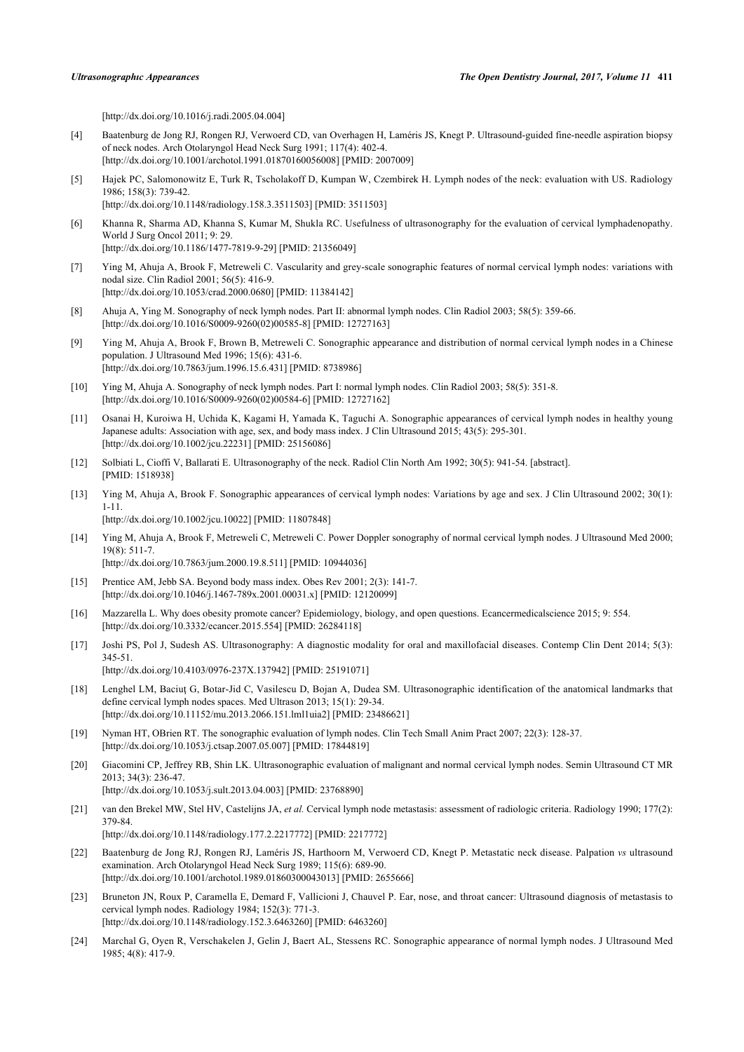[\[http://dx.doi.org/10.1016/j.radi.2005.04.004](http://dx.doi.org/10.1016/j.radi.2005.04.004)]

- <span id="page-7-0"></span>[4] Baatenburg de Jong RJ, Rongen RJ, Verwoerd CD, van Overhagen H, Laméris JS, Knegt P. Ultrasound-guided fine-needle aspiration biopsy of neck nodes. Arch Otolaryngol Head Neck Surg 1991; 117(4): 402-4. [\[http://dx.doi.org/10.1001/archotol.1991.01870160056008](http://dx.doi.org/10.1001/archotol.1991.01870160056008)] [PMID: [2007009\]](http://www.ncbi.nlm.nih.gov/pubmed/2007009)
- <span id="page-7-1"></span>[5] Hajek PC, Salomonowitz E, Turk R, Tscholakoff D, Kumpan W, Czembirek H. Lymph nodes of the neck: evaluation with US. Radiology 1986; 158(3): 739-42. [\[http://dx.doi.org/10.1148/radiology.158.3.3511503](http://dx.doi.org/10.1148/radiology.158.3.3511503)] [PMID: [3511503](http://www.ncbi.nlm.nih.gov/pubmed/3511503)]
- <span id="page-7-2"></span>[6] Khanna R, Sharma AD, Khanna S, Kumar M, Shukla RC. Usefulness of ultrasonography for the evaluation of cervical lymphadenopathy. World J Surg Oncol 2011; 9: 29. [\[http://dx.doi.org/10.1186/1477-7819-9-29\]](http://dx.doi.org/10.1186/1477-7819-9-29) [PMID: [21356049](http://www.ncbi.nlm.nih.gov/pubmed/21356049)]
- <span id="page-7-3"></span>[7] Ying M, Ahuja A, Brook F, Metreweli C. Vascularity and grey-scale sonographic features of normal cervical lymph nodes: variations with nodal size. Clin Radiol 2001; 56(5): 416-9. [\[http://dx.doi.org/10.1053/crad.2000.0680\]](http://dx.doi.org/10.1053/crad.2000.0680) [PMID: [11384142](http://www.ncbi.nlm.nih.gov/pubmed/11384142)]
- <span id="page-7-4"></span>[8] Ahuja A, Ying M. Sonography of neck lymph nodes. Part II: abnormal lymph nodes. Clin Radiol 2003; 58(5): 359-66. [\[http://dx.doi.org/10.1016/S0009-9260\(02\)00585-8\]](http://dx.doi.org/10.1016/S0009-9260(02)00585-8) [PMID: [12727163](http://www.ncbi.nlm.nih.gov/pubmed/12727163)]
- <span id="page-7-5"></span>[9] Ying M, Ahuja A, Brook F, Brown B, Metreweli C. Sonographic appearance and distribution of normal cervical lymph nodes in a Chinese population. J Ultrasound Med 1996; 15(6): 431-6. [\[http://dx.doi.org/10.7863/jum.1996.15.6.431](http://dx.doi.org/10.7863/jum.1996.15.6.431)] [PMID: [8738986\]](http://www.ncbi.nlm.nih.gov/pubmed/8738986)
- <span id="page-7-6"></span>[10] Ying M, Ahuja A. Sonography of neck lymph nodes. Part I: normal lymph nodes. Clin Radiol 2003; 58(5): 351-8. [\[http://dx.doi.org/10.1016/S0009-9260\(02\)00584-6\]](http://dx.doi.org/10.1016/S0009-9260(02)00584-6) [PMID: [12727162](http://www.ncbi.nlm.nih.gov/pubmed/12727162)]
- <span id="page-7-7"></span>[11] Osanai H, Kuroiwa H, Uchida K, Kagami H, Yamada K, Taguchi A. Sonographic appearances of cervical lymph nodes in healthy young Japanese adults: Association with age, sex, and body mass index. J Clin Ultrasound 2015; 43(5): 295-301. [\[http://dx.doi.org/10.1002/jcu.22231\]](http://dx.doi.org/10.1002/jcu.22231) [PMID: [25156086](http://www.ncbi.nlm.nih.gov/pubmed/25156086)]
- <span id="page-7-8"></span>[12] Solbiati L, Cioffi V, Ballarati E. Ultrasonography of the neck. Radiol Clin North Am 1992; 30(5): 941-54. [abstract]. [PMID: [1518938\]](http://www.ncbi.nlm.nih.gov/pubmed/1518938)
- <span id="page-7-9"></span>[13] Ying M, Ahuja A, Brook F. Sonographic appearances of cervical lymph nodes: Variations by age and sex. J Clin Ultrasound 2002; 30(1): 1-11. [\[http://dx.doi.org/10.1002/jcu.10022\]](http://dx.doi.org/10.1002/jcu.10022) [PMID: [11807848](http://www.ncbi.nlm.nih.gov/pubmed/11807848)]
- <span id="page-7-10"></span>[14] Ying M, Ahuja A, Brook F, Metreweli C, Metreweli C. Power Doppler sonography of normal cervical lymph nodes. J Ultrasound Med 2000;  $19(8)$ : 511-7 [\[http://dx.doi.org/10.7863/jum.2000.19.8.511](http://dx.doi.org/10.7863/jum.2000.19.8.511)] [PMID: [10944036\]](http://www.ncbi.nlm.nih.gov/pubmed/10944036)
- <span id="page-7-11"></span>[15] Prentice AM, Jebb SA. Beyond body mass index. Obes Rev 2001; 2(3): 141-7. [\[http://dx.doi.org/10.1046/j.1467-789x.2001.00031.x\]](http://dx.doi.org/10.1046/j.1467-789x.2001.00031.x) [PMID: [12120099](http://www.ncbi.nlm.nih.gov/pubmed/12120099)]
- <span id="page-7-12"></span>[16] Mazzarella L. Why does obesity promote cancer? Epidemiology, biology, and open questions. Ecancermedicalscience 2015; 9: 554. [\[http://dx.doi.org/10.3332/ecancer.2015.554](http://dx.doi.org/10.3332/ecancer.2015.554)] [PMID: [26284118\]](http://www.ncbi.nlm.nih.gov/pubmed/26284118)
- <span id="page-7-13"></span>[17] Joshi PS, Pol J, Sudesh AS. Ultrasonography: A diagnostic modality for oral and maxillofacial diseases. Contemp Clin Dent 2014; 5(3): 345-51. [\[http://dx.doi.org/10.4103/0976-237X.137942](http://dx.doi.org/10.4103/0976-237X.137942)] [PMID: [25191071\]](http://www.ncbi.nlm.nih.gov/pubmed/25191071)
- <span id="page-7-14"></span>[18] Lenghel LM, Baciuț G, Botar-Jid C, Vasilescu D, Bojan A, Dudea SM. Ultrasonographic identification of the anatomical landmarks that define cervical lymph nodes spaces. Med Ultrason 2013; 15(1): 29-34. [\[http://dx.doi.org/10.11152/mu.2013.2066.151.lml1uia2](http://dx.doi.org/10.11152/mu.2013.2066.151.lml1uia2)] [PMID: [23486621](http://www.ncbi.nlm.nih.gov/pubmed/23486621)]
- <span id="page-7-15"></span>[19] Nyman HT, OBrien RT. The sonographic evaluation of lymph nodes. Clin Tech Small Anim Pract 2007; 22(3): 128-37. [\[http://dx.doi.org/10.1053/j.ctsap.2007.05.007](http://dx.doi.org/10.1053/j.ctsap.2007.05.007)] [PMID: [17844819](http://www.ncbi.nlm.nih.gov/pubmed/17844819)]
- <span id="page-7-16"></span>[20] Giacomini CP, Jeffrey RB, Shin LK. Ultrasonographic evaluation of malignant and normal cervical lymph nodes. Semin Ultrasound CT MR 2013; 34(3): 236-47.

[\[http://dx.doi.org/10.1053/j.sult.2013.04.003\]](http://dx.doi.org/10.1053/j.sult.2013.04.003) [PMID: [23768890](http://www.ncbi.nlm.nih.gov/pubmed/23768890)]

<span id="page-7-17"></span>[21] van den Brekel MW, Stel HV, Castelijns JA, *et al.* Cervical lymph node metastasis: assessment of radiologic criteria. Radiology 1990; 177(2): 379-84.

[\[http://dx.doi.org/10.1148/radiology.177.2.2217772](http://dx.doi.org/10.1148/radiology.177.2.2217772)] [PMID: [2217772](http://www.ncbi.nlm.nih.gov/pubmed/2217772)]

- [22] Baatenburg de Jong RJ, Rongen RJ, Laméris JS, Harthoorn M, Verwoerd CD, Knegt P. Metastatic neck disease. Palpation *vs* ultrasound examination. Arch Otolaryngol Head Neck Surg 1989; 115(6): 689-90. [\[http://dx.doi.org/10.1001/archotol.1989.01860300043013](http://dx.doi.org/10.1001/archotol.1989.01860300043013)] [PMID: [2655666\]](http://www.ncbi.nlm.nih.gov/pubmed/2655666)
- <span id="page-7-18"></span>[23] Bruneton JN, Roux P, Caramella E, Demard F, Vallicioni J, Chauvel P. Ear, nose, and throat cancer: Ultrasound diagnosis of metastasis to cervical lymph nodes. Radiology 1984; 152(3): 771-3. [\[http://dx.doi.org/10.1148/radiology.152.3.6463260](http://dx.doi.org/10.1148/radiology.152.3.6463260)] [PMID: [6463260](http://www.ncbi.nlm.nih.gov/pubmed/6463260)]
- <span id="page-7-19"></span>[24] Marchal G, Oyen R, Verschakelen J, Gelin J, Baert AL, Stessens RC. Sonographic appearance of normal lymph nodes. J Ultrasound Med 1985; 4(8): 417-9.